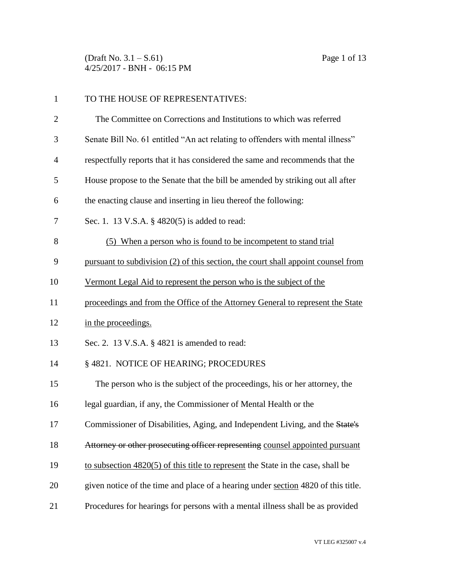(Draft No. 3.1 – S.61) Page 1 of 13 4/25/2017 - BNH - 06:15 PM

| $\mathbf{1}$   | TO THE HOUSE OF REPRESENTATIVES:                                                   |
|----------------|------------------------------------------------------------------------------------|
| $\overline{c}$ | The Committee on Corrections and Institutions to which was referred                |
| 3              | Senate Bill No. 61 entitled "An act relating to offenders with mental illness"     |
| 4              | respectfully reports that it has considered the same and recommends that the       |
| 5              | House propose to the Senate that the bill be amended by striking out all after     |
| 6              | the enacting clause and inserting in lieu thereof the following:                   |
| 7              | Sec. 1. 13 V.S.A. § 4820(5) is added to read:                                      |
| 8              | (5) When a person who is found to be incompetent to stand trial                    |
| 9              | pursuant to subdivision (2) of this section, the court shall appoint counsel from  |
| 10             | Vermont Legal Aid to represent the person who is the subject of the                |
| 11             | proceedings and from the Office of the Attorney General to represent the State     |
| 12             | in the proceedings.                                                                |
| 13             | Sec. 2. 13 V.S.A. § 4821 is amended to read:                                       |
| 14             | § 4821. NOTICE OF HEARING; PROCEDURES                                              |
| 15             | The person who is the subject of the proceedings, his or her attorney, the         |
| 16             | legal guardian, if any, the Commissioner of Mental Health or the                   |
| 17             | Commissioner of Disabilities, Aging, and Independent Living, and the State's       |
| 18             | Attorney or other prosecuting officer representing counsel appointed pursuant      |
| 19             | to subsection $4820(5)$ of this title to represent the State in the case, shall be |
| 20             | given notice of the time and place of a hearing under section 4820 of this title.  |
| 21             | Procedures for hearings for persons with a mental illness shall be as provided     |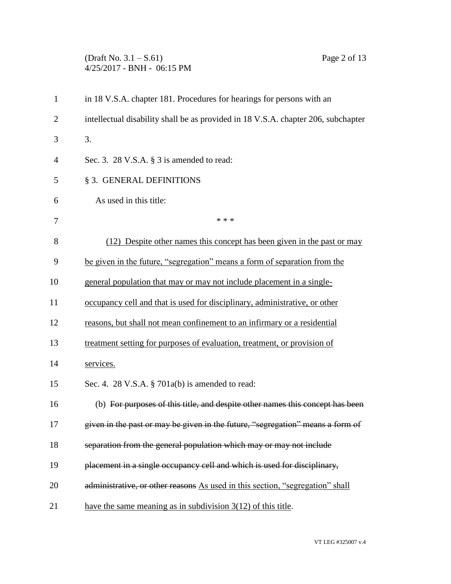## (Draft No. 3.1 – S.61) Page 2 of 13 4/25/2017 - BNH - 06:15 PM

| $\mathbf{1}$   | in 18 V.S.A. chapter 181. Procedures for hearings for persons with an             |
|----------------|-----------------------------------------------------------------------------------|
| $\overline{2}$ | intellectual disability shall be as provided in 18 V.S.A. chapter 206, subchapter |
| 3              | 3.                                                                                |
| 4              | Sec. 3. 28 V.S.A. $\S$ 3 is amended to read:                                      |
| 5              | § 3. GENERAL DEFINITIONS                                                          |
| 6              | As used in this title:                                                            |
| 7              | * * *                                                                             |
| 8              | (12) Despite other names this concept has been given in the past or may           |
| 9              | be given in the future, "segregation" means a form of separation from the         |
| 10             | general population that may or may not include placement in a single-             |
| 11             | occupancy cell and that is used for disciplinary, administrative, or other        |
| 12             | reasons, but shall not mean confinement to an infirmary or a residential          |
| 13             | treatment setting for purposes of evaluation, treatment, or provision of          |
| 14             | services.                                                                         |
| 15             | Sec. 4. 28 V.S.A. § 701a(b) is amended to read:                                   |
| 16             | (b) For purposes of this title, and despite other names this concept has been     |
| 17             | given in the past or may be given in the future, "segregation" means a form of    |
| 18             | separation from the general population which may or may not include               |
| 19             | placement in a single occupancy cell and which is used for disciplinary,          |
| 20             | administrative, or other reasons As used in this section, "segregation" shall     |
| 21             | have the same meaning as in subdivision $3(12)$ of this title.                    |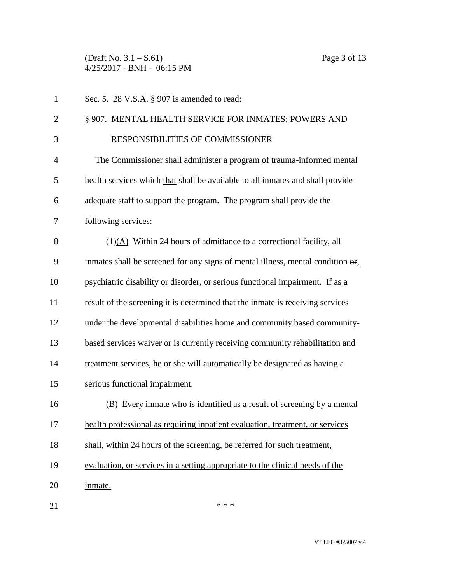(Draft No. 3.1 – S.61) Page 3 of 13 4/25/2017 - BNH - 06:15 PM

| $\mathbf{1}$   | Sec. 5. 28 V.S.A. § 907 is amended to read:                                            |
|----------------|----------------------------------------------------------------------------------------|
| $\overline{2}$ | § 907. MENTAL HEALTH SERVICE FOR INMATES; POWERS AND                                   |
| 3              | RESPONSIBILITIES OF COMMISSIONER                                                       |
| $\overline{4}$ | The Commissioner shall administer a program of trauma-informed mental                  |
| 5              | health services which that shall be available to all inmates and shall provide         |
| 6              | adequate staff to support the program. The program shall provide the                   |
| 7              | following services:                                                                    |
| 8              | (1)(A) Within 24 hours of admittance to a correctional facility, all                   |
| 9              | inmates shall be screened for any signs of mental illness, mental condition $\Theta$ . |
| 10             | psychiatric disability or disorder, or serious functional impairment. If as a          |
| 11             | result of the screening it is determined that the inmate is receiving services         |
| 12             | under the developmental disabilities home and community based community-               |
| 13             | based services waiver or is currently receiving community rehabilitation and           |
| 14             | treatment services, he or she will automatically be designated as having a             |
| 15             | serious functional impairment.                                                         |
| 16             | (B) Every inmate who is identified as a result of screening by a mental                |
| 17             | health professional as requiring inpatient evaluation, treatment, or services          |
| 18             | shall, within 24 hours of the screening, be referred for such treatment,               |
| 19             | evaluation, or services in a setting appropriate to the clinical needs of the          |
| 20             | inmate.                                                                                |
| 21             | * * *                                                                                  |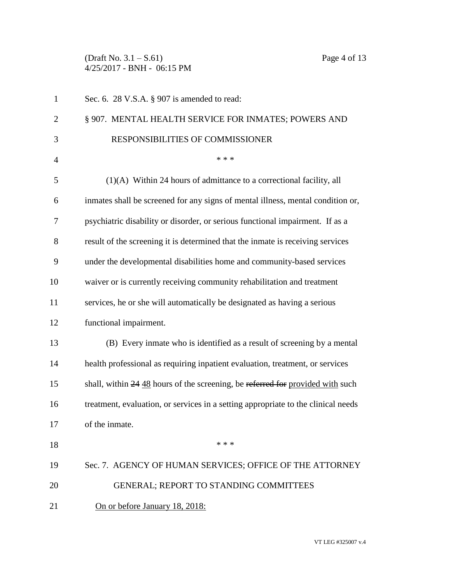(Draft No. 3.1 – S.61) Page 4 of 13 4/25/2017 - BNH - 06:15 PM

| $\mathbf{1}$   | Sec. 6. 28 V.S.A. § 907 is amended to read:                                       |
|----------------|-----------------------------------------------------------------------------------|
| $\overline{c}$ | § 907. MENTAL HEALTH SERVICE FOR INMATES; POWERS AND                              |
| 3              | RESPONSIBILITIES OF COMMISSIONER                                                  |
| 4              | * * *                                                                             |
| 5              | $(1)(A)$ Within 24 hours of admittance to a correctional facility, all            |
| 6              | inmates shall be screened for any signs of mental illness, mental condition or,   |
| 7              | psychiatric disability or disorder, or serious functional impairment. If as a     |
| 8              | result of the screening it is determined that the inmate is receiving services    |
| 9              | under the developmental disabilities home and community-based services            |
| 10             | waiver or is currently receiving community rehabilitation and treatment           |
| 11             | services, he or she will automatically be designated as having a serious          |
| 12             | functional impairment.                                                            |
| 13             | (B) Every inmate who is identified as a result of screening by a mental           |
| 14             | health professional as requiring inpatient evaluation, treatment, or services     |
| 15             | shall, within 24 48 hours of the screening, be referred for provided with such    |
| 16             | treatment, evaluation, or services in a setting appropriate to the clinical needs |
| 17             | of the inmate.                                                                    |
| 18             | * * *                                                                             |
| 19             | Sec. 7. AGENCY OF HUMAN SERVICES; OFFICE OF THE ATTORNEY                          |
| 20             | <b>GENERAL; REPORT TO STANDING COMMITTEES</b>                                     |
| 21             | On or before January 18, 2018:                                                    |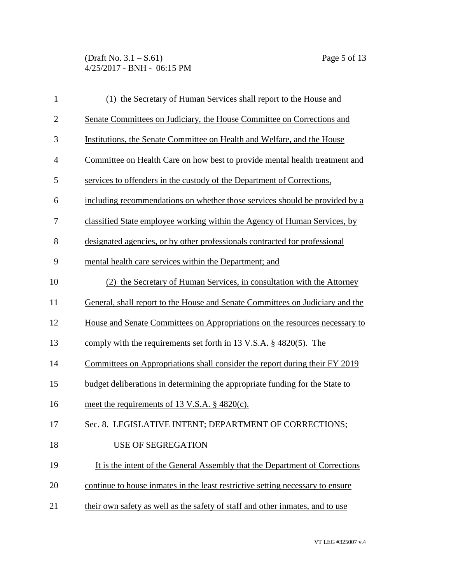(Draft No. 3.1 – S.61) Page 5 of 13 4/25/2017 - BNH - 06:15 PM

| $\mathbf{1}$   | (1) the Secretary of Human Services shall report to the House and                  |
|----------------|------------------------------------------------------------------------------------|
| $\mathbf{2}$   | Senate Committees on Judiciary, the House Committee on Corrections and             |
| 3              | Institutions, the Senate Committee on Health and Welfare, and the House            |
| $\overline{4}$ | Committee on Health Care on how best to provide mental health treatment and        |
| 5              | services to offenders in the custody of the Department of Corrections,             |
| 6              | including recommendations on whether those services should be provided by a        |
| 7              | classified State employee working within the Agency of Human Services, by          |
| 8              | designated agencies, or by other professionals contracted for professional         |
| 9              | mental health care services within the Department; and                             |
| 10             | (2) the Secretary of Human Services, in consultation with the Attorney             |
| 11             | General, shall report to the House and Senate Committees on Judiciary and the      |
| 12             | House and Senate Committees on Appropriations on the resources necessary to        |
| 13             | comply with the requirements set forth in 13 V.S.A. $\S$ 4820(5). The              |
| 14             | <u>Committees on Appropriations shall consider the report during their FY 2019</u> |
| 15             | budget deliberations in determining the appropriate funding for the State to       |
| 16             | meet the requirements of 13 V.S.A. § 4820(c).                                      |
| 17             | Sec. 8. LEGISLATIVE INTENT; DEPARTMENT OF CORRECTIONS;                             |
| 18             | <b>USE OF SEGREGATION</b>                                                          |
| 19             | It is the intent of the General Assembly that the Department of Corrections        |
| 20             | continue to house inmates in the least restrictive setting necessary to ensure     |
| 21             | their own safety as well as the safety of staff and other inmates, and to use      |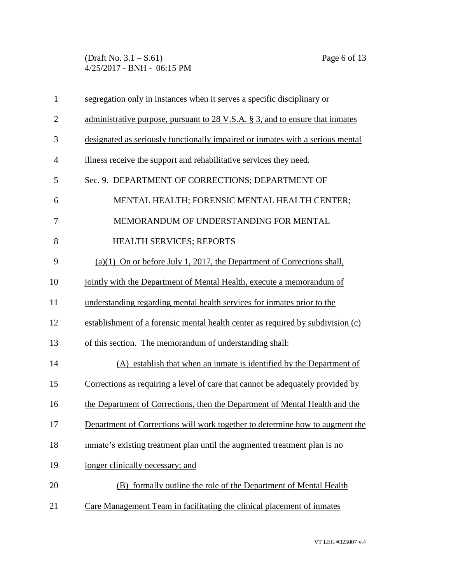(Draft No. 3.1 – S.61) Page 6 of 13 4/25/2017 - BNH - 06:15 PM

| $\mathbf{1}$   | segregation only in instances when it serves a specific disciplinary or          |
|----------------|----------------------------------------------------------------------------------|
| $\overline{2}$ | administrative purpose, pursuant to 28 V.S.A. $\S$ 3, and to ensure that inmates |
| 3              | designated as seriously functionally impaired or inmates with a serious mental   |
| $\overline{4}$ | illness receive the support and rehabilitative services they need.               |
| 5              | Sec. 9. DEPARTMENT OF CORRECTIONS; DEPARTMENT OF                                 |
| 6              | MENTAL HEALTH; FORENSIC MENTAL HEALTH CENTER;                                    |
| 7              | MEMORANDUM OF UNDERSTANDING FOR MENTAL                                           |
| 8              | HEALTH SERVICES; REPORTS                                                         |
| 9              | $(a)(1)$ On or before July 1, 2017, the Department of Corrections shall,         |
| 10             | jointly with the Department of Mental Health, execute a memorandum of            |
| 11             | understanding regarding mental health services for inmates prior to the          |
| 12             | establishment of a forensic mental health center as required by subdivision (c)  |
| 13             | of this section. The memorandum of understanding shall:                          |
| 14             | (A) establish that when an inmate is identified by the Department of             |
| 15             | Corrections as requiring a level of care that cannot be adequately provided by   |
| 16             | the Department of Corrections, then the Department of Mental Health and the      |
| 17             | Department of Corrections will work together to determine how to augment the     |
| 18             | inmate's existing treatment plan until the augmented treatment plan is no        |
| 19             | longer clinically necessary; and                                                 |
| 20             | (B) formally outline the role of the Department of Mental Health                 |
| 21             | Care Management Team in facilitating the clinical placement of inmates           |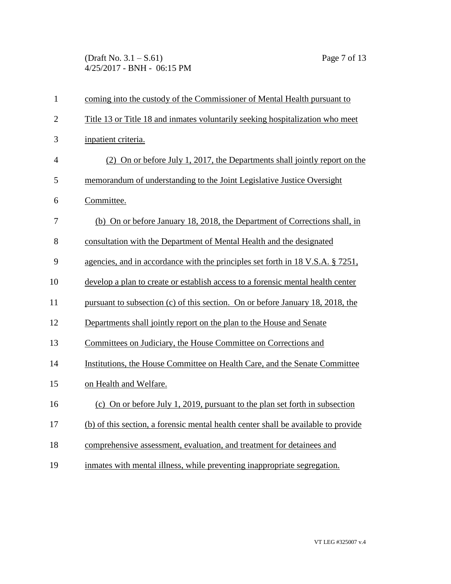(Draft No. 3.1 – S.61) Page 7 of 13 4/25/2017 - BNH - 06:15 PM

| $\mathbf{1}$   | coming into the custody of the Commissioner of Mental Health pursuant to           |
|----------------|------------------------------------------------------------------------------------|
| $\overline{2}$ | Title 13 or Title 18 and inmates voluntarily seeking hospitalization who meet      |
| 3              | inpatient criteria.                                                                |
| $\overline{4}$ | (2) On or before July 1, 2017, the Departments shall jointly report on the         |
| 5              | memorandum of understanding to the Joint Legislative Justice Oversight             |
| 6              | Committee.                                                                         |
| 7              | (b) On or before January 18, 2018, the Department of Corrections shall, in         |
| 8              | consultation with the Department of Mental Health and the designated               |
| 9              | agencies, and in accordance with the principles set forth in 18 V.S.A. § 7251,     |
| 10             | develop a plan to create or establish access to a forensic mental health center    |
| 11             | pursuant to subsection (c) of this section. On or before January 18, 2018, the     |
| 12             | Departments shall jointly report on the plan to the House and Senate               |
| 13             | Committees on Judiciary, the House Committee on Corrections and                    |
| 14             | Institutions, the House Committee on Health Care, and the Senate Committee         |
| 15             | on Health and Welfare.                                                             |
| 16             | (c) On or before July 1, 2019, pursuant to the plan set forth in subsection        |
| 17             | (b) of this section, a forensic mental health center shall be available to provide |
| 18             | comprehensive assessment, evaluation, and treatment for detainees and              |
| 19             | inmates with mental illness, while preventing inappropriate segregation.           |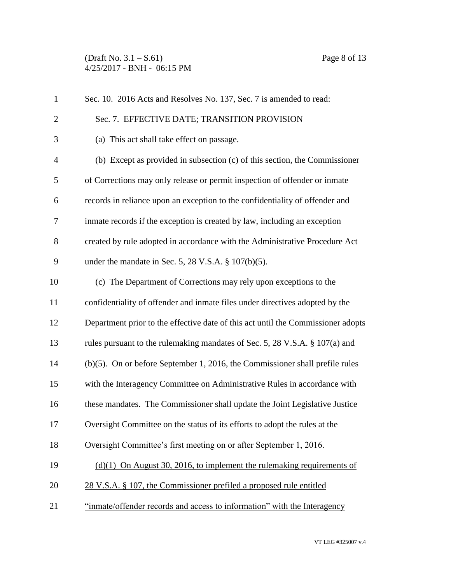(Draft No. 3.1 – S.61) Page 8 of 13 4/25/2017 - BNH - 06:15 PM

| $\mathbf{1}$   | Sec. 10. 2016 Acts and Resolves No. 137, Sec. 7 is amended to read:              |
|----------------|----------------------------------------------------------------------------------|
| $\overline{2}$ | Sec. 7. EFFECTIVE DATE; TRANSITION PROVISION                                     |
| 3              | (a) This act shall take effect on passage.                                       |
| $\overline{4}$ | (b) Except as provided in subsection $(c)$ of this section, the Commissioner     |
| 5              | of Corrections may only release or permit inspection of offender or inmate       |
| 6              | records in reliance upon an exception to the confidentiality of offender and     |
| 7              | inmate records if the exception is created by law, including an exception        |
| 8              | created by rule adopted in accordance with the Administrative Procedure Act      |
| 9              | under the mandate in Sec. 5, 28 V.S.A. $\S$ 107(b)(5).                           |
| 10             | (c) The Department of Corrections may rely upon exceptions to the                |
| 11             | confidentiality of offender and inmate files under directives adopted by the     |
| 12             | Department prior to the effective date of this act until the Commissioner adopts |
| 13             | rules pursuant to the rulemaking mandates of Sec. 5, 28 V.S.A. § 107(a) and      |
| 14             | $(b)(5)$ . On or before September 1, 2016, the Commissioner shall prefile rules  |
| 15             | with the Interagency Committee on Administrative Rules in accordance with        |
| 16             | these mandates. The Commissioner shall update the Joint Legislative Justice      |
| 17             | Oversight Committee on the status of its efforts to adopt the rules at the       |
| 18             | Oversight Committee's first meeting on or after September 1, 2016.               |
| 19             | $(d)(1)$ On August 30, 2016, to implement the rulemaking requirements of         |
| 20             | 28 V.S.A. § 107, the Commissioner prefiled a proposed rule entitled              |
| 21             | "inmate/offender records and access to information" with the Interagency         |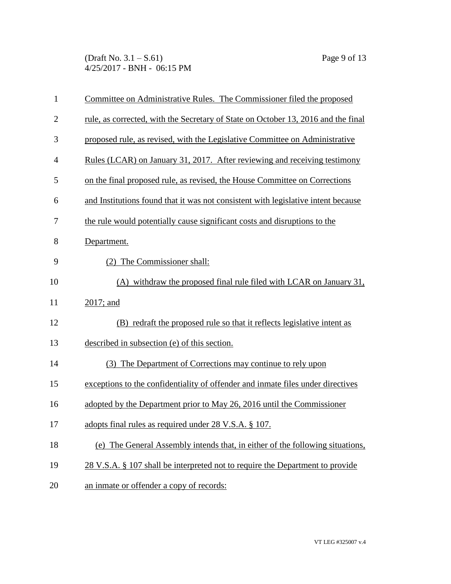(Draft No. 3.1 – S.61) Page 9 of 13 4/25/2017 - BNH - 06:15 PM

| $\mathbf{1}$   | Committee on Administrative Rules. The Commissioner filed the proposed            |
|----------------|-----------------------------------------------------------------------------------|
| $\overline{2}$ | rule, as corrected, with the Secretary of State on October 13, 2016 and the final |
| 3              | proposed rule, as revised, with the Legislative Committee on Administrative       |
| $\overline{4}$ | Rules (LCAR) on January 31, 2017. After reviewing and receiving testimony         |
| 5              | on the final proposed rule, as revised, the House Committee on Corrections        |
| 6              | and Institutions found that it was not consistent with legislative intent because |
| 7              | the rule would potentially cause significant costs and disruptions to the         |
| 8              | Department.                                                                       |
| 9              | (2) The Commissioner shall:                                                       |
| 10             | (A) withdraw the proposed final rule filed with LCAR on January 31,               |
| 11             | 2017; and                                                                         |
| 12             | (B) redraft the proposed rule so that it reflects legislative intent as           |
| 13             | described in subsection (e) of this section.                                      |
| 14             | (3) The Department of Corrections may continue to rely upon                       |
| 15             | exceptions to the confidentiality of offender and inmate files under directives   |
| 16             | adopted by the Department prior to May 26, 2016 until the Commissioner            |
| 17             | adopts final rules as required under 28 V.S.A. § 107.                             |
| 18             | (e) The General Assembly intends that, in either of the following situations,     |
| 19             | 28 V.S.A. § 107 shall be interpreted not to require the Department to provide     |
| 20             | an inmate or offender a copy of records:                                          |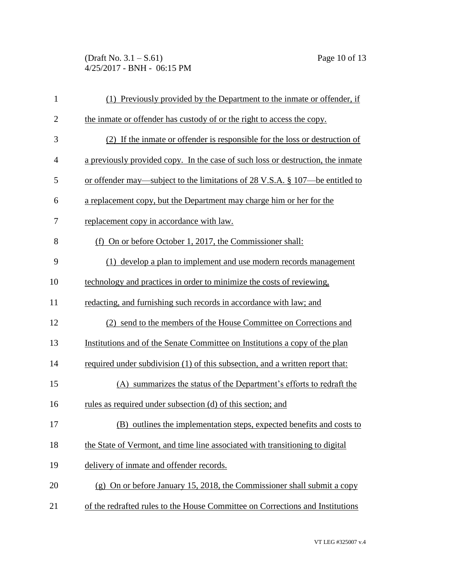(Draft No. 3.1 – S.61) Page 10 of 13 4/25/2017 - BNH - 06:15 PM

| $\mathbf{1}$   | (1) Previously provided by the Department to the inmate or offender, if         |
|----------------|---------------------------------------------------------------------------------|
| $\overline{2}$ | the inmate or offender has custody of or the right to access the copy.          |
| 3              | (2) If the inmate or offender is responsible for the loss or destruction of     |
| $\overline{4}$ | a previously provided copy. In the case of such loss or destruction, the inmate |
| 5              | or offender may—subject to the limitations of 28 V.S.A. § 107—be entitled to    |
| 6              | a replacement copy, but the Department may charge him or her for the            |
| 7              | replacement copy in accordance with law.                                        |
| 8              | (f) On or before October 1, 2017, the Commissioner shall:                       |
| 9              | (1) develop a plan to implement and use modern records management               |
| 10             | technology and practices in order to minimize the costs of reviewing,           |
| 11             | redacting, and furnishing such records in accordance with law; and              |
| 12             | (2) send to the members of the House Committee on Corrections and               |
| 13             | Institutions and of the Senate Committee on Institutions a copy of the plan     |
| 14             | required under subdivision (1) of this subsection, and a written report that:   |
| 15             | (A) summarizes the status of the Department's efforts to redraft the            |
| 16             | rules as required under subsection (d) of this section; and                     |
| 17             | (B) outlines the implementation steps, expected benefits and costs to           |
| 18             | the State of Vermont, and time line associated with transitioning to digital    |
| 19             | delivery of inmate and offender records.                                        |
| 20             | (g) On or before January 15, 2018, the Commissioner shall submit a copy         |
| 21             | of the redrafted rules to the House Committee on Corrections and Institutions   |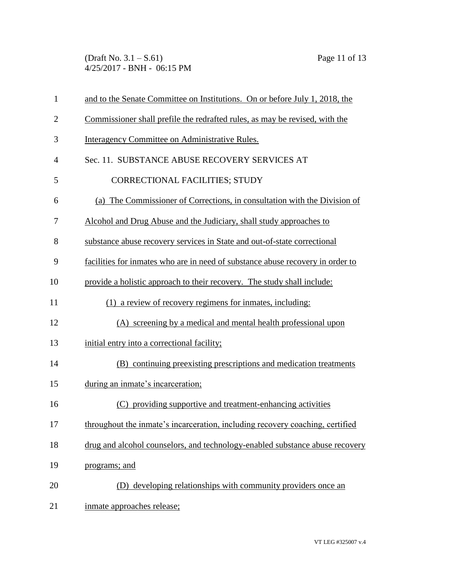(Draft No. 3.1 – S.61) Page 11 of 13 4/25/2017 - BNH - 06:15 PM

| $\mathbf{1}$   | and to the Senate Committee on Institutions. On or before July 1, 2018, the    |
|----------------|--------------------------------------------------------------------------------|
| $\overline{2}$ | Commissioner shall prefile the redrafted rules, as may be revised, with the    |
| 3              | Interagency Committee on Administrative Rules.                                 |
| $\overline{4}$ | Sec. 11. SUBSTANCE ABUSE RECOVERY SERVICES AT                                  |
| 5              | <b>CORRECTIONAL FACILITIES; STUDY</b>                                          |
| 6              | (a) The Commissioner of Corrections, in consultation with the Division of      |
| 7              | Alcohol and Drug Abuse and the Judiciary, shall study approaches to            |
| 8              | substance abuse recovery services in State and out-of-state correctional       |
| 9              | facilities for inmates who are in need of substance abuse recovery in order to |
| 10             | provide a holistic approach to their recovery. The study shall include:        |
| 11             | (1) a review of recovery regimens for inmates, including:                      |
| 12             | (A) screening by a medical and mental health professional upon                 |
| 13             | initial entry into a correctional facility;                                    |
| 14             | (B) continuing preexisting prescriptions and medication treatments             |
| 15             | during an inmate's incarceration;                                              |
| 16             | (C) providing supportive and treatment-enhancing activities                    |
| 17             | throughout the inmate's incarceration, including recovery coaching, certified  |
| 18             | drug and alcohol counselors, and technology-enabled substance abuse recovery   |
| 19             | programs; and                                                                  |
| 20             | (D) developing relationships with community providers once an                  |
| 21             | inmate approaches release;                                                     |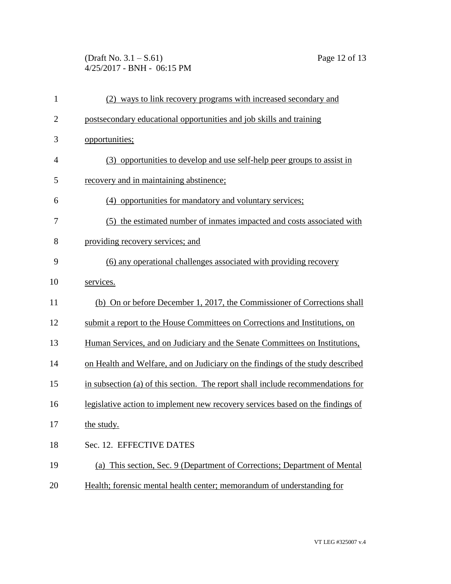(Draft No. 3.1 – S.61) Page 12 of 13 4/25/2017 - BNH - 06:15 PM

| $\mathbf{1}$   | (2) ways to link recovery programs with increased secondary and                 |
|----------------|---------------------------------------------------------------------------------|
| $\overline{2}$ | postsecondary educational opportunities and job skills and training             |
| 3              | opportunities;                                                                  |
| $\overline{4}$ | (3) opportunities to develop and use self-help peer groups to assist in         |
| 5              | recovery and in maintaining abstinence;                                         |
| 6              | (4) opportunities for mandatory and voluntary services;                         |
| 7              | (5) the estimated number of inmates impacted and costs associated with          |
| 8              | providing recovery services; and                                                |
| 9              | (6) any operational challenges associated with providing recovery               |
| 10             | services.                                                                       |
| 11             | (b) On or before December 1, 2017, the Commissioner of Corrections shall        |
| 12             | submit a report to the House Committees on Corrections and Institutions, on     |
| 13             | Human Services, and on Judiciary and the Senate Committees on Institutions,     |
| 14             | on Health and Welfare, and on Judiciary on the findings of the study described  |
| 15             | in subsection (a) of this section. The report shall include recommendations for |
| 16             | legislative action to implement new recovery services based on the findings of  |
| 17             | the study.                                                                      |
| 18             | Sec. 12. EFFECTIVE DATES                                                        |
| 19             | (a) This section, Sec. 9 (Department of Corrections; Department of Mental       |
| 20             | Health; forensic mental health center; memorandum of understanding for          |